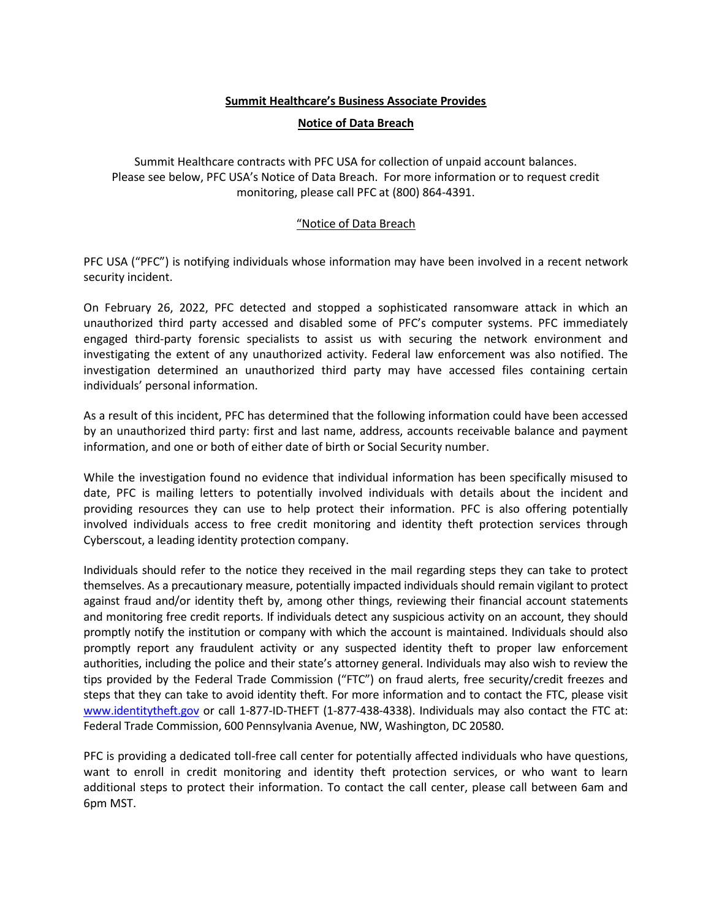## **Summit Healthcare's Business Associate Provides**

## **Notice of Data Breach**

Summit Healthcare contracts with PFC USA for collection of unpaid account balances. Please see below, PFC USA's Notice of Data Breach. For more information or to request credit monitoring, please call PFC at (800) 864-4391.

## "Notice of Data Breach

PFC USA ("PFC") is notifying individuals whose information may have been involved in a recent network security incident.

On February 26, 2022, PFC detected and stopped a sophisticated ransomware attack in which an unauthorized third party accessed and disabled some of PFC's computer systems. PFC immediately engaged third-party forensic specialists to assist us with securing the network environment and investigating the extent of any unauthorized activity. Federal law enforcement was also notified. The investigation determined an unauthorized third party may have accessed files containing certain individuals' personal information.

As a result of this incident, PFC has determined that the following information could have been accessed by an unauthorized third party: first and last name, address, accounts receivable balance and payment information, and one or both of either date of birth or Social Security number.

While the investigation found no evidence that individual information has been specifically misused to date, PFC is mailing letters to potentially involved individuals with details about the incident and providing resources they can use to help protect their information. PFC is also offering potentially involved individuals access to free credit monitoring and identity theft protection services through Cyberscout, a leading identity protection company.

Individuals should refer to the notice they received in the mail regarding steps they can take to protect themselves. As a precautionary measure, potentially impacted individuals should remain vigilant to protect against fraud and/or identity theft by, among other things, reviewing their financial account statements and monitoring free credit reports. If individuals detect any suspicious activity on an account, they should promptly notify the institution or company with which the account is maintained. Individuals should also promptly report any fraudulent activity or any suspected identity theft to proper law enforcement authorities, including the police and their state's attorney general. Individuals may also wish to review the tips provided by the Federal Trade Commission ("FTC") on fraud alerts, free security/credit freezes and steps that they can take to avoid identity theft. For more information and to contact the FTC, please visit [www.identitytheft.gov](http://www.identitytheft.gov/) or call 1-877-ID-THEFT (1-877-438-4338). Individuals may also contact the FTC at: Federal Trade Commission, 600 Pennsylvania Avenue, NW, Washington, DC 20580.

PFC is providing a dedicated toll-free call center for potentially affected individuals who have questions, want to enroll in credit monitoring and identity theft protection services, or who want to learn additional steps to protect their information. To contact the call center, please call between 6am and 6pm MST.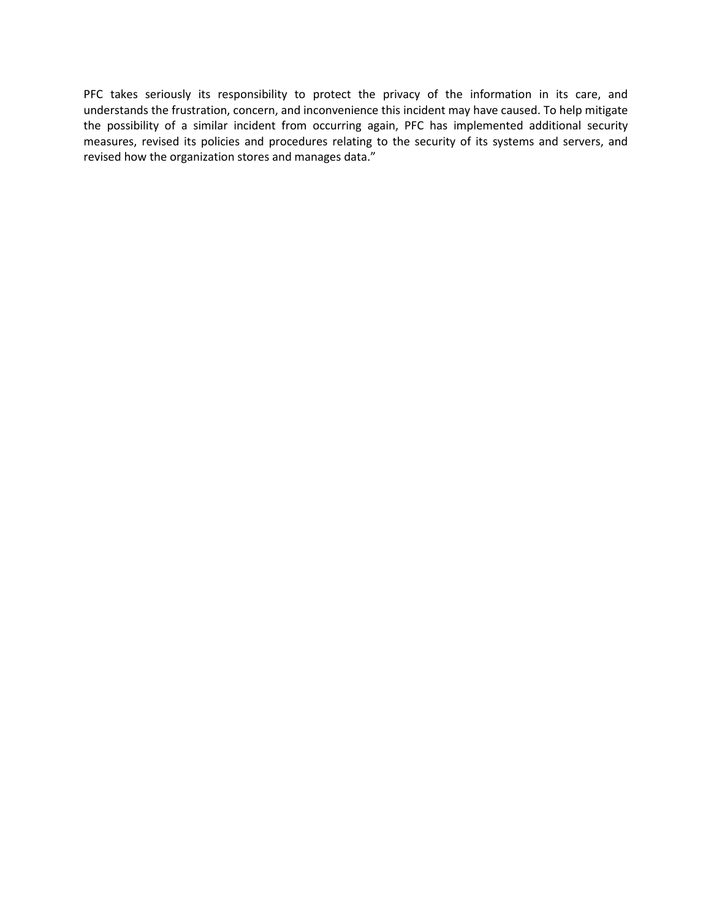PFC takes seriously its responsibility to protect the privacy of the information in its care, and understands the frustration, concern, and inconvenience this incident may have caused. To help mitigate the possibility of a similar incident from occurring again, PFC has implemented additional security measures, revised its policies and procedures relating to the security of its systems and servers, and revised how the organization stores and manages data."